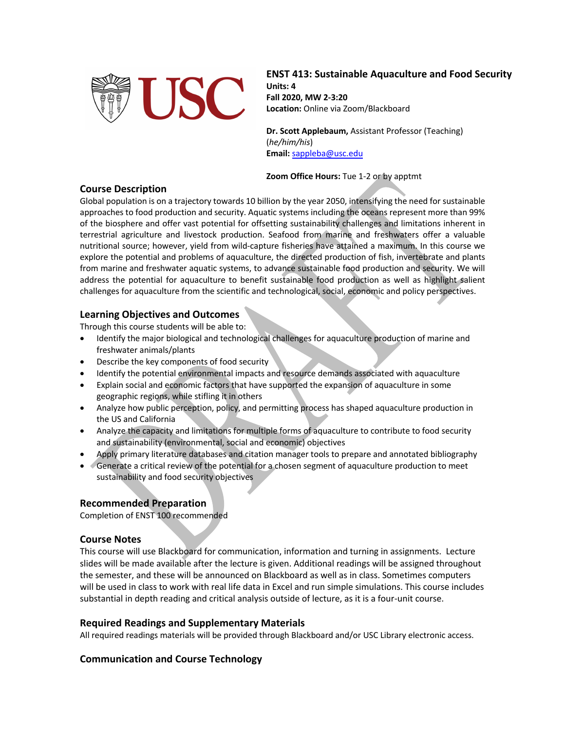

**ENST 413: Sustainable Aquaculture and Food Security Units: 4 Fall 2020, MW 2-3:20 Location:** Online via Zoom/Blackboard

**Dr. Scott Applebaum,** Assistant Professor (Teaching) (*he/him/his*) **Email:** sappleba@usc.edu

**Zoom Office Hours:** Tue 1-2 or by apptmt

## **Course Description**

Global population is on a trajectory towards 10 billion by the year 2050, intensifying the need for sustainable approaches to food production and security. Aquatic systems including the oceans represent more than 99% of the biosphere and offer vast potential for offsetting sustainability challenges and limitations inherent in terrestrial agriculture and livestock production. Seafood from marine and freshwaters offer a valuable nutritional source; however, yield from wild-capture fisheries have attained a maximum. In this course we explore the potential and problems of aquaculture, the directed production of fish, invertebrate and plants from marine and freshwater aquatic systems, to advance sustainable food production and security. We will address the potential for aquaculture to benefit sustainable food production as well as highlight salient challenges for aquaculture from the scientific and technological, social, economic and policy perspectives.

# **Learning Objectives and Outcomes**

Through this course students will be able to:

- Identify the major biological and technological challenges for aquaculture production of marine and freshwater animals/plants
- Describe the key components of food security
- Identify the potential environmental impacts and resource demands associated with aquaculture
- Explain social and economic factors that have supported the expansion of aquaculture in some geographic regions, while stifling it in others
- Analyze how public perception, policy, and permitting process has shaped aquaculture production in the US and California
- Analyze the capacity and limitations for multiple forms of aquaculture to contribute to food security and sustainability (environmental, social and economic) objectives
- Apply primary literature databases and citation manager tools to prepare and annotated bibliography
- Generate a critical review of the potential for a chosen segment of aquaculture production to meet sustainability and food security objectives

## **Recommended Preparation**

Completion of ENST 100 recommended

## **Course Notes**

This course will use Blackboard for communication, information and turning in assignments. Lecture slides will be made available after the lecture is given. Additional readings will be assigned throughout the semester, and these will be announced on Blackboard as well as in class. Sometimes computers will be used in class to work with real life data in Excel and run simple simulations. This course includes substantial in depth reading and critical analysis outside of lecture, as it is a four-unit course.

#### **Required Readings and Supplementary Materials**

All required readings materials will be provided through Blackboard and/or USC Library electronic access.

## **Communication and Course Technology**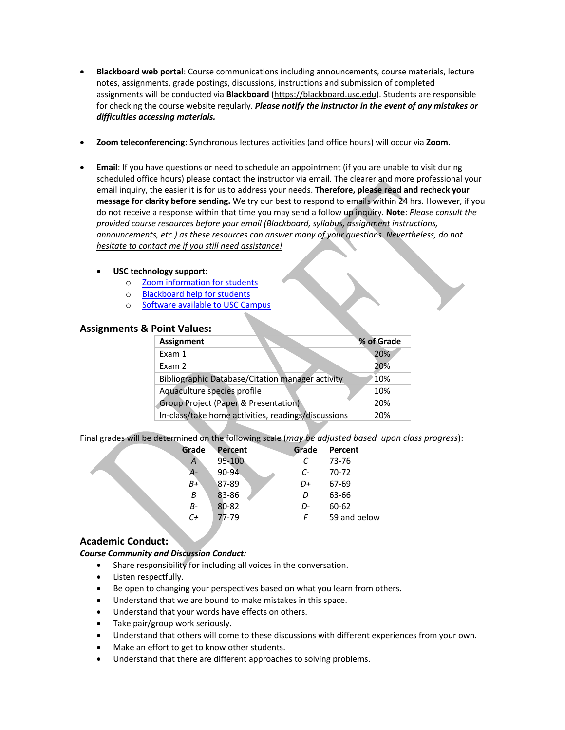- **Blackboard web portal**: Course communications including announcements, course materials, lecture notes, assignments, grade postings, discussions, instructions and submission of completed assignments will be conducted via **Blackboard** (https://blackboard.usc.edu). Students are responsible for checking the course website regularly. *Please notify the instructor in the event of any mistakes or difficulties accessing materials.*
- **Zoom teleconferencing:** Synchronous lectures activities (and office hours) will occur via **Zoom**.
- **Email**: If you have questions or need to schedule an appointment (if you are unable to visit during scheduled office hours) please contact the instructor via email. The clearer and more professional your email inquiry, the easier it is for us to address your needs. **Therefore, please read and recheck your message for clarity before sending.** We try our best to respond to emails within 24 hrs. However, if you do not receive a response within that time you may send a follow up inquiry. **Note**: *Please consult the provided course resources before your email (Blackboard, syllabus, assignment instructions, announcements, etc.) as these resources can answer many of your questions. Nevertheless, do not hesitate to contact me if you still need assistance!*

#### • **USC technology support:**

- o Zoom information for students
- o Blackboard help for students
- o Software available to USC Campus

## **Assignments & Point Values:**

| <b>Assignment</b>                                       |  | % of Grade |
|---------------------------------------------------------|--|------------|
| Exam 1                                                  |  | 20%        |
| Exam 2                                                  |  | 20%        |
| <b>Bibliographic Database/Citation manager activity</b> |  | 10%        |
| Aquaculture species profile                             |  | 10%        |
| Group Project (Paper & Presentation)                    |  | 20%        |
| In-class/take home activities, readings/discussions     |  | 20%        |

Final grades will be determined on the following scale (*may be adjusted based upon class progress*):

| Grade   | Percent    | Grade         | Percent      |
|---------|------------|---------------|--------------|
| A       | $95 - 100$ | C             | 73-76        |
| А-      | $90 - 94$  | $\mathcal{C}$ | 70-72        |
| $B+$    | 87-89      | D+            | 67-69        |
| Β       | 83-86      | D             | 63-66        |
| В-      | 80-82      | D-            | 60-62        |
| $C_{t}$ | 77-79      | F             | 59 and below |
|         |            |               |              |

## **Academic Conduct:**

## *Course Community and Discussion Conduct:*

- Share responsibility for including all voices in the conversation.
- Listen respectfully.
- Be open to changing your perspectives based on what you learn from others.
- Understand that we are bound to make mistakes in this space.
- Understand that your words have effects on others.
- Take pair/group work seriously.
- Understand that others will come to these discussions with different experiences from your own.
- Make an effort to get to know other students.
- Understand that there are different approaches to solving problems.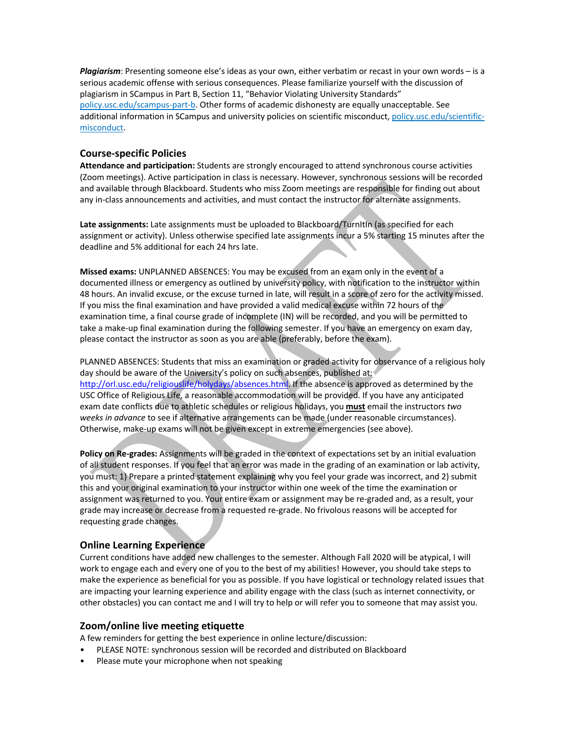*Plagiarism*: Presenting someone else's ideas as your own, either verbatim or recast in your own words – is a serious academic offense with serious consequences. Please familiarize yourself with the discussion of plagiarism in SCampus in Part B, Section 11, "Behavior Violating University Standards" policy.usc.edu/scampus-part-b. Other forms of academic dishonesty are equally unacceptable. See additional information in SCampus and university policies on scientific misconduct, policy.usc.edu/scientificmisconduct.

#### **Course-specific Policies**

**Attendance and participation:** Students are strongly encouraged to attend synchronous course activities (Zoom meetings). Active participation in class is necessary. However, synchronous sessions will be recorded and available through Blackboard. Students who miss Zoom meetings are responsible for finding out about any in-class announcements and activities, and must contact the instructor for alternate assignments.

Late assignments: Late assignments must be uploaded to Blackboard/TurnItIn (as specified for each assignment or activity). Unless otherwise specified late assignments incur a 5% starting 15 minutes after the deadline and 5% additional for each 24 hrs late.

**Missed exams:** UNPLANNED ABSENCES: You may be excused from an exam only in the event of a documented illness or emergency as outlined by university policy, with notification to the instructor within 48 hours. An invalid excuse, or the excuse turned in late, will result in a score of zero for the activity missed. If you miss the final examination and have provided a valid medical excuse within 72 hours of the examination time, a final course grade of incomplete (IN) will be recorded, and you will be permitted to take a make-up final examination during the following semester. If you have an emergency on exam day, please contact the instructor as soon as you are able (preferably, before the exam).

PLANNED ABSENCES: Students that miss an examination or graded activity for observance of a religious holy day should be aware of the University's policy on such absences, published at: http://orl.usc.edu/religiouslife/holydays/absences.html. If the absence is approved as determined by the USC Office of Religious Life, a reasonable accommodation will be provided. If you have any anticipated exam date conflicts due to athletic schedules or religious holidays, you **must** email the instructors *two weeks in advance* to see if alternative arrangements can be made (under reasonable circumstances). Otherwise, make-up exams will not be given except in extreme emergencies (see above).

**Policy on Re-grades:** Assignments will be graded in the context of expectations set by an initial evaluation of all student responses. If you feel that an error was made in the grading of an examination or lab activity, you must: 1) Prepare a printed statement explaining why you feel your grade was incorrect, and 2) submit this and your original examination to your instructor within one week of the time the examination or assignment was returned to you. Your entire exam or assignment may be re-graded and, as a result, your grade may increase or decrease from a requested re-grade. No frivolous reasons will be accepted for requesting grade changes.

# **Online Learning Experience**

Current conditions have added new challenges to the semester. Although Fall 2020 will be atypical, I will work to engage each and every one of you to the best of my abilities! However, you should take steps to make the experience as beneficial for you as possible. If you have logistical or technology related issues that are impacting your learning experience and ability engage with the class (such as internet connectivity, or other obstacles) you can contact me and I will try to help or will refer you to someone that may assist you.

## **Zoom/online live meeting etiquette**

A few reminders for getting the best experience in online lecture/discussion:

- PLEASE NOTE: synchronous session will be recorded and distributed on Blackboard
- Please mute your microphone when not speaking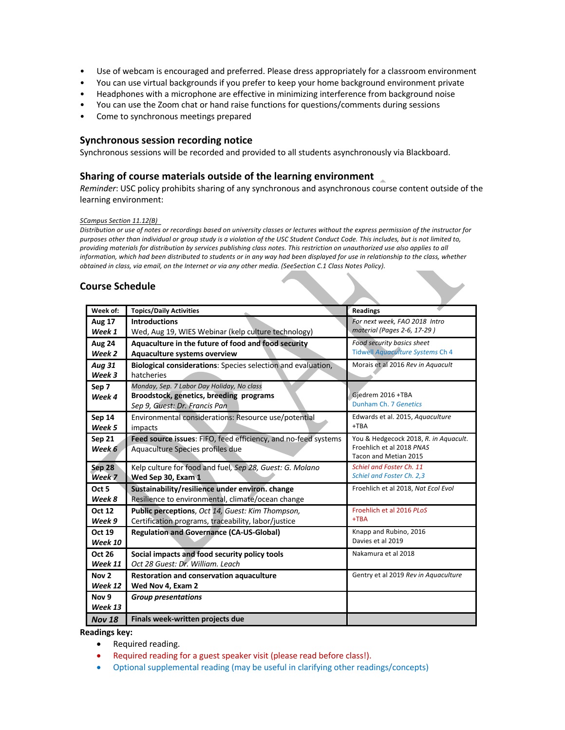- Use of webcam is encouraged and preferred. Please dress appropriately for a classroom environment
- You can use virtual backgrounds if you prefer to keep your home background environment private
- Headphones with a microphone are effective in minimizing interference from background noise
- You can use the Zoom chat or hand raise functions for questions/comments during sessions
- Come to synchronous meetings prepared

#### **Synchronous session recording notice**

Synchronous sessions will be recorded and provided to all students asynchronously via Blackboard.

#### **Sharing of course materials outside of the learning environment**

*Reminder*: USC policy prohibits sharing of any synchronous and asynchronous course content outside of the learning environment:

#### *SCampus Section 11.12(B)*

Distribution or use of notes or recordings based on university classes or lectures without the express permission of the instructor for *purposes other than individual or group study is a violation of the USC Student Conduct Code. This includes, but is not limited to, providing materials for distribution by services publishing class notes. This restriction on unauthorized use also applies to all information, which had been distributed to students or in any way had been displayed for use in relationship to the class, whether obtained in class, via email, on the Internet or via any other media. (SeeSection C.1 Class Notes Policy).*

## **Course Schedule**

| Week of:         | <b>Topics/Daily Activities</b>                                 | <b>Readings</b>                       |
|------------------|----------------------------------------------------------------|---------------------------------------|
| <b>Aug 17</b>    | <b>Introductions</b>                                           | For next week, FAO 2018 Intro         |
| Week 1           | Wed, Aug 19, WIES Webinar (kelp culture technology)            | material (Pages 2-6, 17-29)           |
| <b>Aug 24</b>    | Aquaculture in the future of food and food security            | Food security basics sheet            |
| Week 2           | Aquaculture systems overview                                   | Tidwell Aquaculture Systems Ch 4      |
| <b>Aug 31</b>    | Biological considerations: Species selection and evaluation,   | Morais et al 2016 Rev in Aguacult     |
| Week 3           | hatcheries                                                     |                                       |
| Sep 7            | Monday, Sep. 7 Labor Day Holiday, No class                     |                                       |
| Week 4           | Broodstock, genetics, breeding programs                        | Gjedrem 2016 +TBA                     |
|                  | Sep 9, Guest: Dr. Francis Pan                                  | Dunham Ch. 7 Genetics                 |
| <b>Sep 14</b>    | Environmental considerations: Resource use/potential           | Edwards et al. 2015, Aquaculture      |
| Week 5           | impacts                                                        | $+TBA$                                |
| Sep 21           | Feed source issues: FIFO, feed efficiency, and no-feed systems | You & Hedgecock 2018, R. in Aguacult. |
| Week 6           | Aquaculture Species profiles due                               | Froehlich et al 2018 PNAS             |
|                  |                                                                | Tacon and Metian 2015                 |
| <b>Sep 28</b>    | Kelp culture for food and fuel, Sep 28, Guest: G. Molano       | Schiel and Foster Ch. 11              |
| Week 7           | Wed Sep 30, Exam 1                                             | Schiel and Foster Ch. 2,3             |
| Oct <sub>5</sub> | Sustainability/resilience under environ. change                | Froehlich et al 2018, Nat Ecol Evol   |
| Week 8           | Resilience to environmental, climate/ocean change              |                                       |
| <b>Oct 12</b>    | Public perceptions, Oct 14, Guest: Kim Thompson,               | Froehlich et al 2016 PLoS             |
| Week 9           | Certification programs, traceability, labor/justice            | $+TBA$                                |
| <b>Oct 19</b>    | <b>Regulation and Governance (CA-US-Global)</b>                | Knapp and Rubino, 2016                |
| Week 10          |                                                                | Davies et al 2019                     |
| <b>Oct 26</b>    | Social impacts and food security policy tools                  | Nakamura et al 2018                   |
| Week 11          | Oct 28 Guest: Dr. William. Leach                               |                                       |
| Nov <sub>2</sub> | Restoration and conservation aquaculture                       | Gentry et al 2019 Rev in Aquaculture  |
| Week 12          | Wed Nov 4, Exam 2                                              |                                       |
| Nov <sub>9</sub> | <b>Group presentations</b>                                     |                                       |
| Week 13          |                                                                |                                       |
| <b>Nov 18</b>    | Finals week-written projects due                               |                                       |

**Readings key:** 

- Required reading.
- Required reading for a guest speaker visit (please read before class!).
- Optional supplemental reading (may be useful in clarifying other readings/concepts)